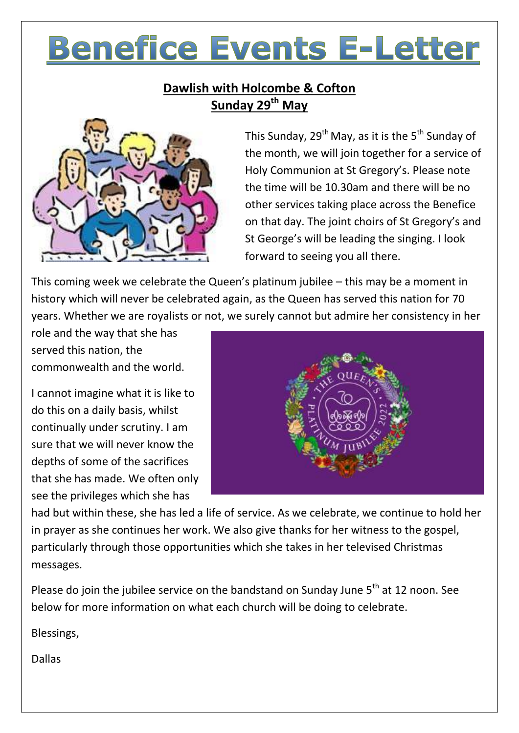# **Benefice Events E-Letter**

# **Dawlish with Holcombe & Cofton Sunday 29 th May**



This Sunday, 29<sup>th</sup> May, as it is the 5<sup>th</sup> Sunday of the month, we will join together for a service of Holy Communion at St Gregory's. Please note the time will be 10.30am and there will be no other services taking place across the Benefice on that day. The joint choirs of St Gregory's and St George's will be leading the singing. I look forward to seeing you all there.

This coming week we celebrate the Queen's platinum jubilee – this may be a moment in history which will never be celebrated again, as the Queen has served this nation for 70 years. Whether we are royalists or not, we surely cannot but admire her consistency in her

role and the way that she has served this nation, the commonwealth and the world.

I cannot imagine what it is like to do this on a daily basis, whilst continually under scrutiny. I am sure that we will never know the depths of some of the sacrifices that she has made. We often only see the privileges which she has



had but within these, she has led a life of service. As we celebrate, we continue to hold her in prayer as she continues her work. We also give thanks for her witness to the gospel, particularly through those opportunities which she takes in her televised Christmas messages.

Please do join the jubilee service on the bandstand on Sunday June 5<sup>th</sup> at 12 noon. See below for more information on what each church will be doing to celebrate.

Blessings,

Dallas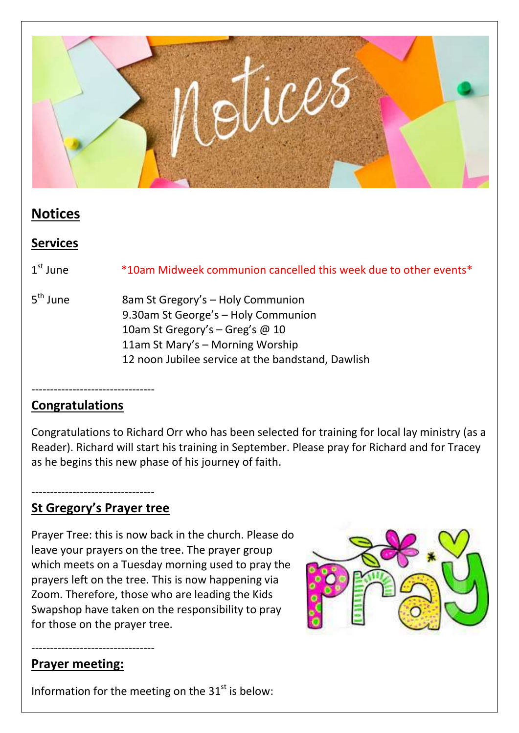

# **Notices**

# **Services**

1<sup>st</sup> June \*10am Midweek communion cancelled this week due to other events\*

5<sup>th</sup> June 8am St Gregory's – Holy Communion 9.30am St George's – Holy Communion 10am St Gregory's - Greg's @ 10 11am St Mary's – Morning Worship 12 noon Jubilee service at the bandstand, Dawlish

## ---------------------------------

## **Congratulations**

Congratulations to Richard Orr who has been selected for training for local lay ministry (as a Reader). Richard will start his training in September. Please pray for Richard and for Tracey as he begins this new phase of his journey of faith.

#### --------------------------------- **St Gregory's Prayer tree**

Prayer Tree: this is now back in the church. Please do leave your prayers on the tree. The prayer group which meets on a Tuesday morning used to pray the prayers left on the tree. This is now happening via Zoom. Therefore, those who are leading the Kids Swapshop have taken on the responsibility to pray for those on the prayer tree.



#### --------------------------------- **Prayer meeting:**

Information for the meeting on the  $31<sup>st</sup>$  is below: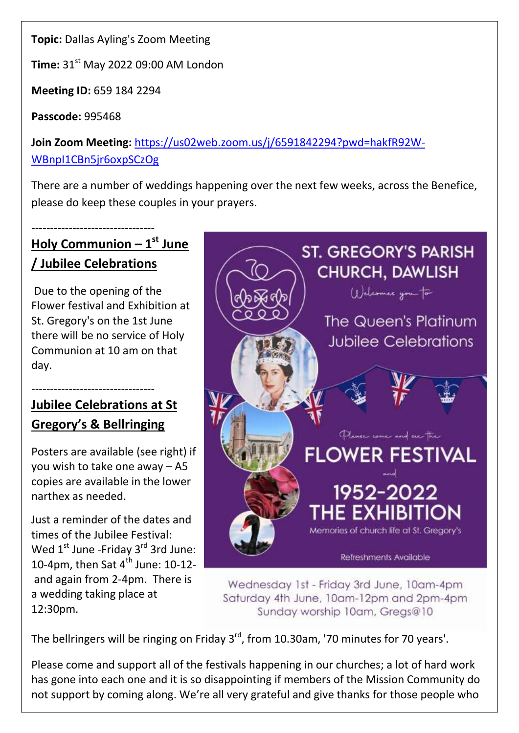**Topic:** Dallas Ayling's Zoom Meeting

**Time:** 31<sup>st</sup> May 2022 09:00 AM London

**Meeting ID:** 659 184 2294

**Passcode:** 995468

**Join Zoom Meeting:** [https://us02web.zoom.us/j/6591842294?pwd=hakfR92W-](https://us02web.zoom.us/j/6591842294?pwd=hakfR92W-WBnpI1CBn5jr6oxpSCzOg)[WBnpI1CBn5jr6oxpSCzOg](https://us02web.zoom.us/j/6591842294?pwd=hakfR92W-WBnpI1CBn5jr6oxpSCzOg)

There are a number of weddings happening over the next few weeks, across the Benefice, please do keep these couples in your prayers.

# --------------------------------- **Holy Communion – 1 st June / Jubilee Celebrations**

Due to the opening of the Flower festival and Exhibition at St. Gregory's on the 1st June there will be no service of Holy Communion at 10 am on that day.

# --------------------------------- **Jubilee Celebrations at St Gregory's & Bellringing**

Posters are available (see right) if you wish to take one away – A5 copies are available in the lower narthex as needed.

Just a reminder of the dates and times of the Jubilee Festival: Wed  $1<sup>st</sup>$  June -Friday  $3<sup>rd</sup>$  3rd June: 10-4pm, then Sat  $4^{\text{th}}$  June: 10-12and again from 2-4pm. There is a wedding taking place at 12:30pm.



Wednesday 1st - Friday 3rd June, 10am-4pm Saturday 4th June, 10am-12pm and 2pm-4pm Sunday worship 10am, Gregs@10

The bellringers will be ringing on Friday 3<sup>rd</sup>, from 10.30am, '70 minutes for 70 years'.

Please come and support all of the festivals happening in our churches; a lot of hard work has gone into each one and it is so disappointing if members of the Mission Community do not support by coming along. We're all very grateful and give thanks for those people who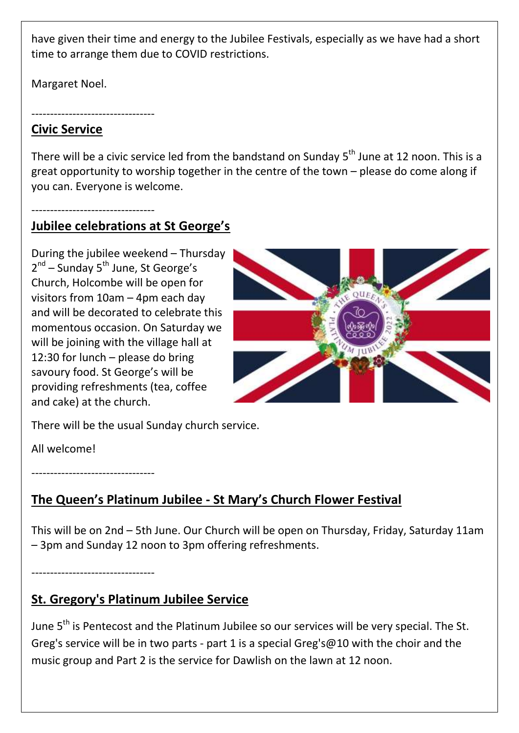have given their time and energy to the Jubilee Festivals, especially as we have had a short time to arrange them due to COVID restrictions.

Margaret Noel.

#### ---------------------------------

---------------------------------

### **Civic Service**

There will be a civic service led from the bandstand on Sunday  $5<sup>th</sup>$  June at 12 noon. This is a great opportunity to worship together in the centre of the town – please do come along if you can. Everyone is welcome.

# **Jubilee celebrations at St George's**

During the jubilee weekend – Thursday 2<sup>nd</sup> – Sunday 5<sup>th</sup> June, St George's Church, Holcombe will be open for visitors from 10am – 4pm each day and will be decorated to celebrate this momentous occasion. On Saturday we will be joining with the village hall at 12:30 for lunch – please do bring savoury food. St George's will be providing refreshments (tea, coffee and cake) at the church.



There will be the usual Sunday church service.

All welcome!

---------------------------------

# **The Queen's Platinum Jubilee - St Mary's Church Flower Festival**

This will be on 2nd – 5th June. Our Church will be open on Thursday, Friday, Saturday 11am – 3pm and Sunday 12 noon to 3pm offering refreshments.

---------------------------------

# **St. Gregory's Platinum Jubilee Service**

June 5<sup>th</sup> is Pentecost and the Platinum Jubilee so our services will be very special. The St. Greg's service will be in two parts - part 1 is a special Greg's@10 with the choir and the music group and Part 2 is the service for Dawlish on the lawn at 12 noon.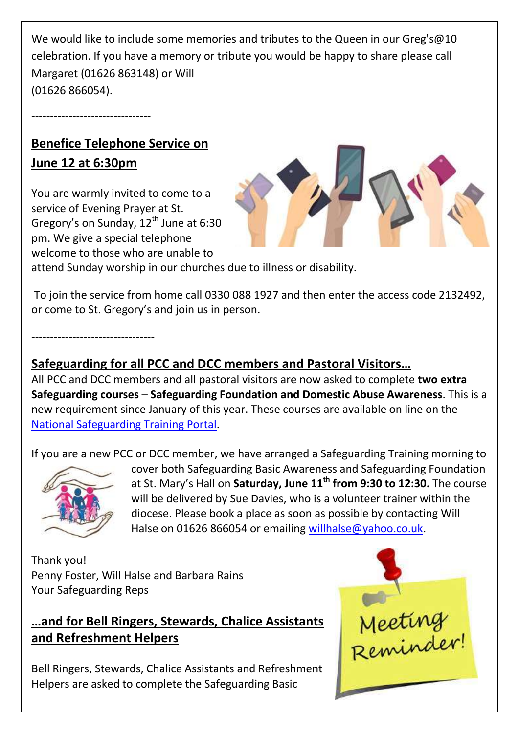We would like to include some memories and tributes to the Queen in our Greg's@10 celebration. If you have a memory or tribute you would be happy to share please call Margaret (01626 863148) or Will (01626 866054).

# **Benefice Telephone Service on June 12 at 6:30pm**

--------------------------------

You are warmly invited to come to a service of Evening Prayer at St. Gregory's on Sunday,  $12^{th}$  June at 6:30 pm. We give a special telephone welcome to those who are unable to



attend Sunday worship in our churches due to illness or disability.

To join the service from home call 0330 088 1927 and then enter the access code 2132492, or come to St. Gregory's and join us in person.

---------------------------------

# **Safeguarding for all PCC and DCC members and Pastoral Visitors…**

All PCC and DCC members and all pastoral visitors are now asked to complete **two extra Safeguarding courses** – **Safeguarding Foundation and Domestic Abuse Awareness**. This is a new requirement since January of this year. These courses are available on line on the [National Safeguarding Training Portal.](https://safeguardingtraining.cofeportal.org/)

If you are a new PCC or DCC member, we have arranged a Safeguarding Training morning to



cover both Safeguarding Basic Awareness and Safeguarding Foundation at St. Mary's Hall on **Saturday, June 11th from 9:30 to 12:30.** The course will be delivered by Sue Davies, who is a volunteer trainer within the diocese. Please book a place as soon as possible by contacting Will Halse on 01626 866054 or emailing [willhalse@yahoo.co.uk.](mailto:willhalse@yahoo.co.uk)

Thank you! Penny Foster, Will Halse and Barbara Rains Your Safeguarding Reps

## **…and for Bell Ringers, Stewards, Chalice Assistants and Refreshment Helpers**

Bell Ringers, Stewards, Chalice Assistants and Refreshment Helpers are asked to complete the Safeguarding Basic

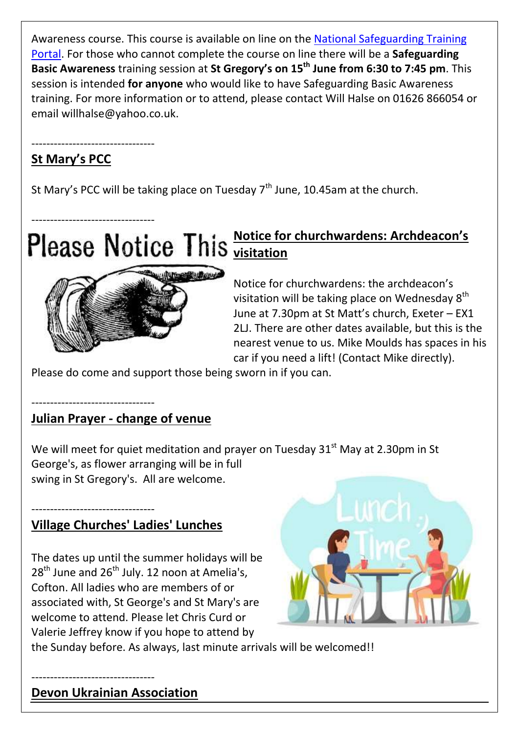Awareness course. This course is available on line on the [National Safeguarding Training](https://safeguardingtraining.cofeportal.org/)  [Portal.](https://safeguardingtraining.cofeportal.org/) For those who cannot complete the course on line there will be a **Safeguarding Basic Awareness** training session at **St Gregory's on 15th June from 6:30 to 7:45 pm**. This session is intended **for anyone** who would like to have Safeguarding Basic Awareness training. For more information or to attend, please contact Will Halse on 01626 866054 or email willhalse@yahoo.co.uk.

# **St Mary's PCC**

---------------------------------

St Mary's PCC will be taking place on Tuesday  $7<sup>th</sup>$  June, 10.45am at the church.

# --------------------------------- **Notice for churchwardens: Archdeacon's visitation**



Notice for churchwardens: the archdeacon's visitation will be taking place on Wednesday  $8<sup>th</sup>$ June at 7.30pm at St Matt's church, Exeter – EX1 2LJ. There are other dates available, but this is the nearest venue to us. Mike Moulds has spaces in his car if you need a lift! (Contact Mike directly).

Please do come and support those being sworn in if you can.

#### --------------------------------- **Julian Prayer - change of venue**

We will meet for quiet meditation and prayer on Tuesday  $31^{st}$  May at 2.30pm in St George's, as flower arranging will be in full swing in St Gregory's. All are welcome.

#### --------------------------------- **Village Churches' Ladies' Lunches**

The dates up until the summer holidays will be  $28<sup>th</sup>$  June and  $26<sup>th</sup>$  July. 12 noon at Amelia's, Cofton. All ladies who are members of or associated with, St George's and St Mary's are welcome to attend. Please let Chris Curd or Valerie Jeffrey know if you hope to attend by



the Sunday before. As always, last minute arrivals will be welcomed!!

# **Devon Ukrainian Association**

---------------------------------